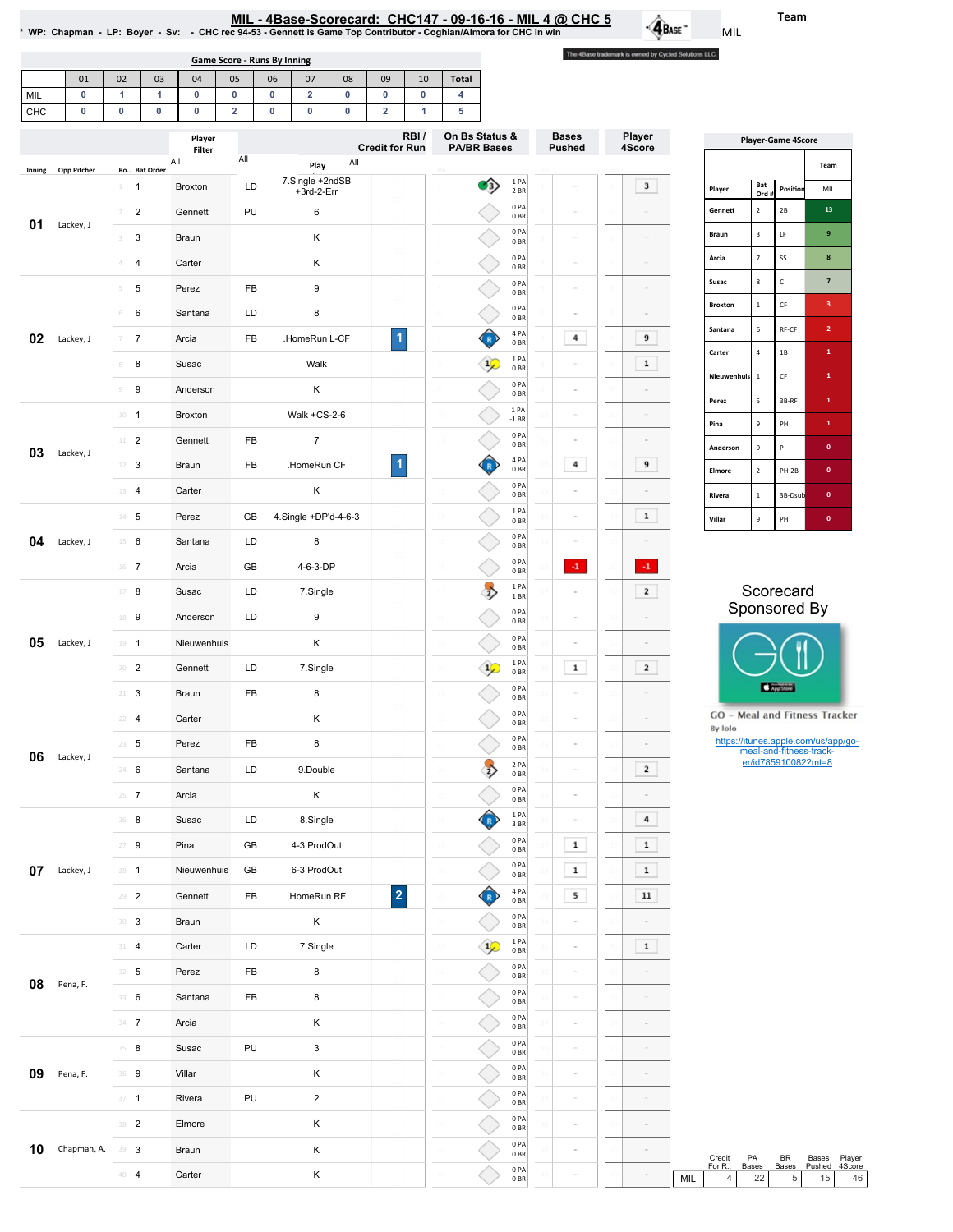MIL

| MIL - 4Base-Scorecard: CHC147 - 09-16-16 - MIL 4 @ CHC 5                                                          |
|-------------------------------------------------------------------------------------------------------------------|
| * WP: Chapman - LP: Boyer - Sv: - CHC rec 94-53 - Gennett is Game Top Contributor - Coghlan/Almora for CHC in win |

The 4Base trademark is owned by Cycled Solutions LLC.

 $\cdot \mathbf{A}_{\text{Base}}$ 

| Game Score - Runs By Inning |  |
|-----------------------------|--|
|                             |  |

MIL

01 | 02 | 03 | 04 | 05 | 06 | 07 | 08 | 09 | 10 | Total |

0 1 1 0 0 0 2 0 0 0 1

| CHC             | $\pmb{0}$   | $\pmb{0}$       | $\bf{0}$       | $\pmb{0}$      | $\overline{2}$ | $\pmb{0}$<br>$\mathbf 0$      | $\bf{0}$ | $\overline{2}$<br>$\mathbf{1}$ | 5                                    |                         |                               |                          |                                                |                       |                                                |                                  |
|-----------------|-------------|-----------------|----------------|----------------|----------------|-------------------------------|----------|--------------------------------|--------------------------------------|-------------------------|-------------------------------|--------------------------|------------------------------------------------|-----------------------|------------------------------------------------|----------------------------------|
|                 |             |                 |                | Player         |                |                               |          | RBI/<br><b>Credit for Run</b>  | On Bs Status &<br><b>PA/BR Bases</b> |                         | <b>Bases</b><br><b>Pushed</b> | Player<br>4Score         |                                                |                       | <b>Player-Game 4Score</b>                      |                                  |
| Inning          | Opp Pitcher |                 | Ro Bat Order   | Filter<br>All  | All            | Play                          | All      |                                |                                      |                         |                               |                          |                                                |                       |                                                | Team                             |
|                 |             | $1 -$           | $\overline{1}$ | <b>Broxton</b> | LD             | 7.Single +2ndSB<br>+3rd-2-Err |          |                                | ශ                                    | 1PA<br>2 BR             |                               | 3                        | Player                                         | Bat<br>Ord #          | Position                                       | MIL                              |
|                 |             | $\overline{2}$  | $\overline{2}$ | Gennett        | PU             | 6                             |          |                                |                                      | 0PA<br>0 <sub>BR</sub>  | ×.                            |                          | Gennett                                        | $\mathbf 2$           | $2\mathsf{B}$                                  | 13                               |
| 01              | Lackey, J   | 3               | 3              | Braun          |                | К                             |          |                                |                                      | 0PA<br>0 <sub>BR</sub>  | $\sim$                        | $\sim$                   | <b>Braun</b>                                   | $\,$ 3                | LF                                             | $\boldsymbol{9}$                 |
|                 |             | $\Delta$        | $\overline{4}$ | Carter         |                | К                             |          |                                |                                      | 0PA<br>0 <sub>BR</sub>  | $\sim$                        |                          | Arcia                                          | $\overline{7}$        | SS                                             | $\bf8$                           |
|                 |             | 5               | 5              | Perez          | FB             | 9                             |          |                                |                                      | 0PA<br>0 <sub>BR</sub>  | $\sim$                        | $\equiv$                 | Susac                                          | $\bf8$                | c                                              | $\overline{7}$                   |
|                 |             | 6               | $\,6$          | Santana        | LD             | 8                             |          |                                |                                      | 0PA<br>0 <sub>BR</sub>  |                               |                          | Broxton                                        | $\,1\,$               | $\mathsf{CF}$                                  | 3                                |
| 02              | Lackey, J   | $7 -$           | $\overline{7}$ | Arcia          | FB             | .HomeRun L-CF                 |          | $\overline{\mathbf{1}}$        | $\langle$ R $\rangle$                | 4 PA<br>0BR             | 4                             | 9                        | Santana                                        | $\,6\,$               | RF-CF                                          | $\mathbf{2}$                     |
|                 |             | 8               | 8              | Susac          |                | Walk                          |          |                                | $\mathcal{P}$                        | 1 PA<br>0BR             | $\sim$                        | $\mathbf 1$              | Carter                                         | $\overline{4}$        | $1\mathsf{B}$                                  | $\mathbf{1}$                     |
|                 |             | $\circledcirc$  | 9              | Anderson       |                | К                             |          |                                |                                      | 0PA<br>0BR              | $\sim$                        |                          | Nieuwenhuis                                    | $\mathbf 1$           | CF                                             | $\mathbf{1}$                     |
|                 |             | $10 - 1$        |                | Broxton        |                | Walk +CS-2-6                  |          |                                |                                      | 1 PA                    | $\sim$                        | $\sim$                   | Perez                                          | $\sf 5$               | 3B-RF                                          | $\mathbf{1}$                     |
|                 |             | $11$ 2          |                | Gennett        | FB             | $\overline{7}$                |          |                                |                                      | $-1$ BR<br>0PA          |                               |                          | Pina                                           | $\mathsf g$           | PH                                             | $\mathbf{1}$                     |
| 03              | Lackey, J   | $12 - 3$        |                | <b>Braun</b>   | FB             | .HomeRun CF                   |          | $\blacktriangleleft$           | $\left( R\right)$                    | 0 <sub>BR</sub><br>4 PA | 4                             | 9                        | Anderson                                       | $\overline{9}$        | P                                              | $\mathbf{0}^-$                   |
|                 |             | 13 4            |                | Carter         |                | К                             |          |                                |                                      | 0BR<br>0PA              |                               |                          | Elmore                                         | $\mathbf{2}$          | $PH-2B$                                        | $\mathbf{0}^-$                   |
|                 |             | $14 - 5$        |                | Perez          | GB             | 4.Single +DP'd-4-6-3          |          |                                |                                      | 0 <sub>BR</sub><br>1 PA |                               | $\mathbf{1}$             | Rivera<br>Villar                               | $\,$ 1<br>$\mathsf g$ | 3B-Dsub<br>PH                                  | $\mathbf{0}^-$<br>$\mathbf{0}^-$ |
| 04              | Lackey, J   | $15 \t 6$       |                | Santana        | LD             | 8                             |          |                                |                                      | 0BR<br>0 PA             |                               | $\sim$                   |                                                |                       |                                                |                                  |
|                 |             | $16$ 7          |                | Arcia          | GB             | 4-6-3-DP                      |          |                                |                                      | 0 <sub>BR</sub><br>0 PA | $\cdot 1$                     | $\mathbf{-1}$            |                                                |                       |                                                |                                  |
|                 |             | $17 - 8$        |                | Susac          | LD             | 7.Single                      |          |                                | $\frac{1}{2}$                        | 0 <sub>BR</sub><br>1 PA |                               | $\mathbf{2}$             |                                                |                       | Scorecard                                      |                                  |
|                 |             | 18 9            |                | Anderson       | LD             | 9                             |          |                                |                                      | 1 BR<br>0PA             | $\sim$                        | Sponsored By<br>$\equiv$ |                                                |                       |                                                |                                  |
| 05<br>Lackey, J |             |                 |                |                |                |                               |          |                                |                                      | 0BR<br>0PA              |                               |                          |                                                |                       |                                                |                                  |
|                 | $19 - 1$    |                 | Nieuwenhuis    |                | Κ              |                               |          |                                | 0BR<br>1 PA                          | $\mathbf 1$             | $\equiv$<br>$\mathbf{2}$      |                          |                                                |                       |                                                |                                  |
|                 |             | $20 - 2$        |                | Gennett        | LD             | 7.Single                      |          |                                | $\mathcal{L}$                        | 0 <sub>BR</sub><br>0PA  | $\sim$                        | $\alpha$                 |                                                |                       | App Store                                      |                                  |
|                 |             | $21 - 3$        |                | Braun          | FB             | 8                             |          |                                |                                      | 0 <sub>BR</sub><br>0 PA | $\overline{a}$                | $\sim$                   | GO - Meal and Fitness Tracker                  |                       |                                                |                                  |
|                 |             | $22 \, 4$       |                | Carter         |                | К                             |          |                                |                                      | 0 <sub>BR</sub><br>0PA  |                               |                          | By Iolo<br>https://itunes.apple.com/us/app/go- |                       |                                                |                                  |
| 06              | Lackey, J   | $23 - 5$        |                | Perez          | FB             | 8                             |          |                                |                                      | 0 <sub>BR</sub><br>2 PA | $\sim$                        | $\sim$                   |                                                |                       | meal-and-fitness-track-<br>er/id785910082?mt=8 |                                  |
|                 |             | 24 6            |                | Santana        | LD             | 9.Double                      |          |                                | $\frac{1}{2}$                        | 0 <sub>BR</sub><br>0PA  | $\sim$                        | $\mathbf{2}$             |                                                |                       |                                                |                                  |
|                 |             | $25 \t 7$       |                | Arcia          |                | К                             |          |                                |                                      | 0 <sub>BR</sub><br>1 PA |                               | $\sim$                   |                                                |                       |                                                |                                  |
|                 |             | $26 - 8$        |                | Susac          | LD             | 8.Single                      |          |                                | $\left  \mathbf{R} \right $          | 3BR<br>0PA              |                               | 4                        |                                                |                       |                                                |                                  |
|                 |             | $27 - 9$        |                | Pina           | GB             | 4-3 ProdOut                   |          |                                |                                      | 0 <sub>BR</sub>         | $\mathbf 1$                   | $\mathbf{1}$             |                                                |                       |                                                |                                  |
| 07              | Lackey, J   | $28 - 1$        |                | Nieuwenhuis    | GB             | 6-3 ProdOut                   |          |                                |                                      | 0PA<br>0B               | $\mathbf 1$                   | $\mathbf 1$              |                                                |                       |                                                |                                  |
|                 |             | $29 - 2$        |                | Gennett        | FB             | .HomeRun RF                   |          | $\vert$ 2                      | $\mathbb{R}$                         | 4 PA<br>0 <sub>BR</sub> | 5                             | 11                       |                                                |                       |                                                |                                  |
|                 |             | 30 <sup>3</sup> |                | Braun          |                | Κ                             |          |                                |                                      | 0PA<br>0 <sub>BR</sub>  | $\sim$                        | $\sim$                   |                                                |                       |                                                |                                  |
|                 |             | $31 - 4$        |                | Carter         | LD             | 7.Single                      |          |                                | $\mathcal{P}$                        | 1 PA<br>0BR             | $\sim$                        | $\mathbf{1}$             |                                                |                       |                                                |                                  |
| 08              | Pena, F.    | $32 - 5$        |                | Perez          | FB             | 8                             |          |                                |                                      | 0PA<br>0BR              | $\sim$                        |                          |                                                |                       |                                                |                                  |
|                 |             | 33 6            |                | Santana        | FB             | 8                             |          |                                |                                      | 0PA<br>0 <sub>BR</sub>  | $\sim$                        |                          |                                                |                       |                                                |                                  |
|                 |             | $34 \t7$        |                | Arcia          |                | Κ                             |          |                                |                                      | 0PA<br>0 <sub>BR</sub>  |                               |                          |                                                |                       |                                                |                                  |
|                 |             | $35 - 8$        |                | Susac          | PU             | $\ensuremath{\mathsf{3}}$     |          |                                |                                      | 0PA<br>0 <sub>BR</sub>  |                               |                          |                                                |                       |                                                |                                  |
| 09              | Pena, F.    | 36 9            |                | Villar         |                | Κ                             |          |                                |                                      | 0 PA<br>0 <sub>BR</sub> |                               | $\sim$                   |                                                |                       |                                                |                                  |
|                 |             | $37 - 1$        |                | Rivera         | PU             | $\sqrt{2}$                    |          |                                |                                      | 0PA<br>0 <sub>BR</sub>  | $\sim$                        | $\equiv$                 |                                                |                       |                                                |                                  |
|                 |             | 38 <sup>2</sup> |                | Elmore         |                | Κ                             |          |                                |                                      | 0PA<br>0BR              | $\sim$                        | $\equiv$                 |                                                |                       |                                                |                                  |
| 10              | Chapman, A. | 39 3            |                | Braun          |                | Κ                             |          |                                |                                      | 0PA<br>0BR              | $\equiv$                      | $\equiv$                 | Credit                                         | PA                    | BR                                             | Bases<br>Player                  |
|                 |             | $40-4$          |                | Carter         |                | Κ                             |          |                                |                                      | 0PA<br>0BR              |                               |                          | For R<br>$\overline{4}$<br>MIL                 | Bases<br>22           | Bases<br>5                                     | Pushed<br>4Score<br>15           |

| <b>Player-Game 4Score</b> |                |          |                |  |  |  |  |  |  |  |
|---------------------------|----------------|----------|----------------|--|--|--|--|--|--|--|
|                           |                |          | Team           |  |  |  |  |  |  |  |
| Player                    | Bat<br>Ord#    | Position | MIL            |  |  |  |  |  |  |  |
| Gennett                   | $\overline{2}$ | 2B       | 13             |  |  |  |  |  |  |  |
| <b>Braun</b>              | 3              | LF       | 9              |  |  |  |  |  |  |  |
| Arcia                     | $\overline{7}$ | SS       | 8              |  |  |  |  |  |  |  |
| Susac                     | 8              | C        | $\overline{7}$ |  |  |  |  |  |  |  |
| <b>Broxton</b>            | $\mathbf{1}$   | CF       | 3              |  |  |  |  |  |  |  |
| Santana                   | 6              | RF-CF    | $\overline{a}$ |  |  |  |  |  |  |  |
| Carter                    | 4              | 1B       | 1              |  |  |  |  |  |  |  |
| Nieuwenhuis               | $\overline{1}$ | CF       | 1              |  |  |  |  |  |  |  |
| Perez                     | 5              | 3B-RF    | 1              |  |  |  |  |  |  |  |
| Pina                      | 9              | PH       | 1              |  |  |  |  |  |  |  |
| Anderson                  | 9              | P        | $\mathbf{0}$   |  |  |  |  |  |  |  |
| Elmore                    | $\overline{2}$ | PH-2B    | $\mathbf{0}$   |  |  |  |  |  |  |  |
| Rivera                    | 1              | 3B-Dsub  | $\mathbf{0}$   |  |  |  |  |  |  |  |
| Villar                    | 9              | PH       | $\mathbf{0}$   |  |  |  |  |  |  |  |

### Scorecard Sponsored By

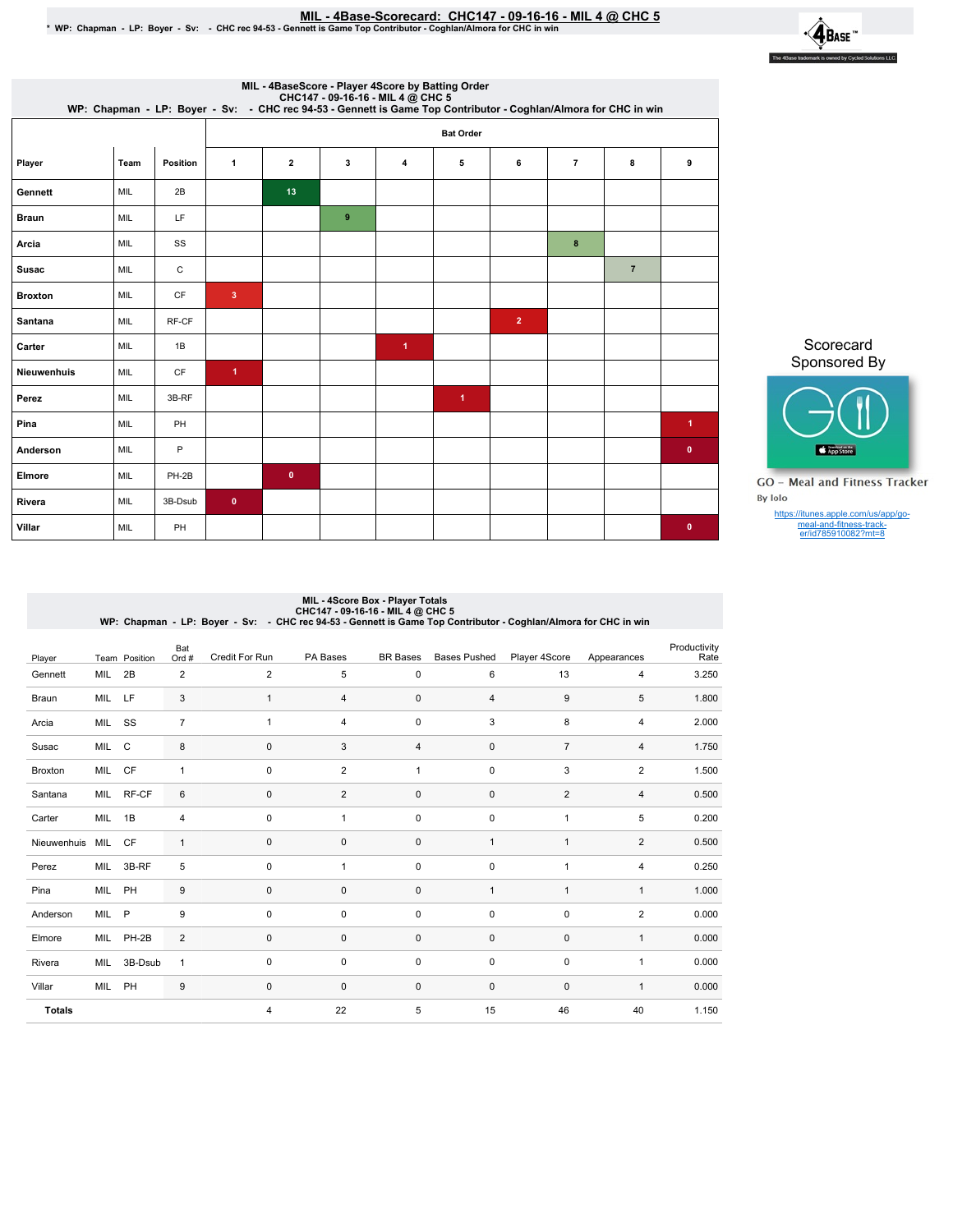## MIL - 4Base-Scorecard: CHC147 - 09-16-16 - MIL 4 @ CHC 5 يسب MIL - 4Base-Scorecard: CHC147 - 09-16-16 - MIL<br>WP: Chapman - LP: Boyer - Sv: - CHC rec 94-53 - Gennett is Game Top Contributor - Coghlan/Almora for CHC in win

 $\cdot \hat{\mathbf{A}}$ Base The 4Base trademark is owner ed by Cycled Solutions LLC.

|                    | MIL - 4BaseScore - Player 4Score by Batting Order<br>CHC147 - 09-16-16 - MIL 4 @ CHC 5<br>WP: Chapman - LP: Boyer - Sv: - CHC rec 94-53 - Gennett is Game Top Contributor - Coghlan/Almora for CHC in win |                 |                         |                |   |                      |                  |                |                |                |             |  |  |
|--------------------|-----------------------------------------------------------------------------------------------------------------------------------------------------------------------------------------------------------|-----------------|-------------------------|----------------|---|----------------------|------------------|----------------|----------------|----------------|-------------|--|--|
|                    |                                                                                                                                                                                                           |                 |                         |                |   |                      | <b>Bat Order</b> |                |                |                |             |  |  |
| Player             | Team                                                                                                                                                                                                      | <b>Position</b> | $\mathbf{1}$            | $\overline{2}$ | 3 | 4                    | 5                | 6              | $\overline{7}$ | 8              | 9           |  |  |
| Gennett            | <b>MIL</b>                                                                                                                                                                                                | 2B              |                         | 13             |   |                      |                  |                |                |                |             |  |  |
| <b>Braun</b>       | <b>MIL</b>                                                                                                                                                                                                | LF.             |                         |                | 9 |                      |                  |                |                |                |             |  |  |
| Arcia              | MIL                                                                                                                                                                                                       | SS              |                         |                |   |                      |                  |                | 8              |                |             |  |  |
| <b>Susac</b>       | MIL                                                                                                                                                                                                       | С               |                         |                |   |                      |                  |                |                | $\overline{7}$ |             |  |  |
| <b>Broxton</b>     | <b>MIL</b>                                                                                                                                                                                                | CF              | $\overline{\mathbf{3}}$ |                |   |                      |                  |                |                |                |             |  |  |
| Santana            | <b>MIL</b>                                                                                                                                                                                                | RF-CF           |                         |                |   |                      |                  | $\overline{2}$ |                |                |             |  |  |
| Carter             | <b>MIL</b>                                                                                                                                                                                                | 1B              |                         |                |   | $\blacktriangleleft$ |                  |                |                |                |             |  |  |
| <b>Nieuwenhuis</b> | MIL                                                                                                                                                                                                       | CF              | $\blacktriangleleft$    |                |   |                      |                  |                |                |                |             |  |  |
| Perez              | MIL                                                                                                                                                                                                       | 3B-RF           |                         |                |   |                      | 1                |                |                |                |             |  |  |
| Pina               | MIL                                                                                                                                                                                                       | PH              |                         |                |   |                      |                  |                |                |                | 1           |  |  |
| Anderson           | <b>MIL</b>                                                                                                                                                                                                | P               |                         |                |   |                      |                  |                |                |                | $\bullet$   |  |  |
| Elmore             | <b>MIL</b>                                                                                                                                                                                                | PH-2B           |                         | $\bullet$      |   |                      |                  |                |                |                |             |  |  |
| Rivera             | <b>MIL</b>                                                                                                                                                                                                | 3B-Dsub         | $\mathbf{0}$            |                |   |                      |                  |                |                |                |             |  |  |
| Villar             | MIL                                                                                                                                                                                                       | PH              |                         |                |   |                      |                  |                |                |                | $\mathbf 0$ |  |  |

Scorecard Sponsored By



**GO** - Meal and Fitness Tracker By Iolo

https://itunes.apple.com/us/app/go-meal-and-fitness-track-er/id785910082?mt=8

# MIL - 4Score Box - Player Totals<br>CHC147 - 09-16-17 - DHC 100 - CHC 16-09-16<br>WP: Chapman - LP: Boyer - Sv: - CHC rec 94-53 - Gennett is Game Top Contributor - Coghlan/Almora for CHC in win

| Player        |     | Team Position | Bat<br>Ord #     | Credit For Run | PA Bases       | <b>BR</b> Bases | <b>Bases Pushed</b> | Player 4Score  | Appearances             | Productivity<br>Rate |
|---------------|-----|---------------|------------------|----------------|----------------|-----------------|---------------------|----------------|-------------------------|----------------------|
| Gennett       | MIL | 2B            | $\overline{2}$   | $\overline{2}$ | 5              | 0               | 6                   | 13             | 4                       | 3.250                |
| Braun         | MIL | LF            | 3                |                | $\overline{4}$ | 0               | 4                   | 9              | 5                       | 1.800                |
| Arcia         | MIL | SS            | $\overline{7}$   | 1              | $\overline{4}$ | $\mathbf 0$     | 3                   | 8              | $\overline{4}$          | 2.000                |
| Susac         | MIL | $\mathsf{C}$  | 8                | 0              | 3              | 4               | $\pmb{0}$           | $\overline{7}$ | $\overline{4}$          | 1.750                |
| Broxton       | MIL | CF            | 1                | 0              | $\overline{2}$ | $\mathbf{1}$    | 0                   | 3              | $\overline{2}$          | 1.500                |
| Santana       | MIL | RF-CF         | 6                | $\mathbf 0$    | $\overline{2}$ | 0               | 0                   | $\overline{2}$ | $\overline{4}$          | 0.500                |
| Carter        | MIL | 1B            | 4                | $\mathbf 0$    | $\overline{1}$ | $\pmb{0}$       | 0                   | 1              | 5                       | 0.200                |
| Nieuwenhuis   | MIL | <b>CF</b>     | $\mathbf{1}$     | 0              | 0              | 0               | 1                   | $\mathbf{1}$   | $\overline{2}$          | 0.500                |
| Perez         | MIL | 3B-RF         | 5                | 0              | 1              | 0               | 0                   | 1              | $\overline{4}$          | 0.250                |
| Pina          | MIL | PH            | $\boldsymbol{9}$ | $\mathbf 0$    | $\mathbf 0$    | 0               | 1                   | 1              | $\mathbf{1}$            | 1.000                |
| Anderson      | MIL | P             | 9                | $\mathbf 0$    | $\mathbf 0$    | $\pmb{0}$       | 0                   | $\mathbf 0$    | $\overline{\mathbf{c}}$ | 0.000                |
| Elmore        | MIL | PH-2B         | $\overline{2}$   | $\mathbf 0$    | $\mathbf 0$    | 0               | 0                   | $\mathbf 0$    | $\mathbf{1}$            | 0.000                |
| Rivera        | MIL | 3B-Dsub       | $\mathbf{1}$     | 0              | 0              | 0               | 0                   | 0              | 1                       | 0.000                |
| Villar        | MIL | PH            | $9\,$            | 0              | $\mathbf 0$    | 0               | $\pmb{0}$           | $\pmb{0}$      | $\mathbf{1}$            | 0.000                |
| <b>Totals</b> |     |               |                  | 4              | 22             | 5               | 15                  | 46             | 40                      | 1.150                |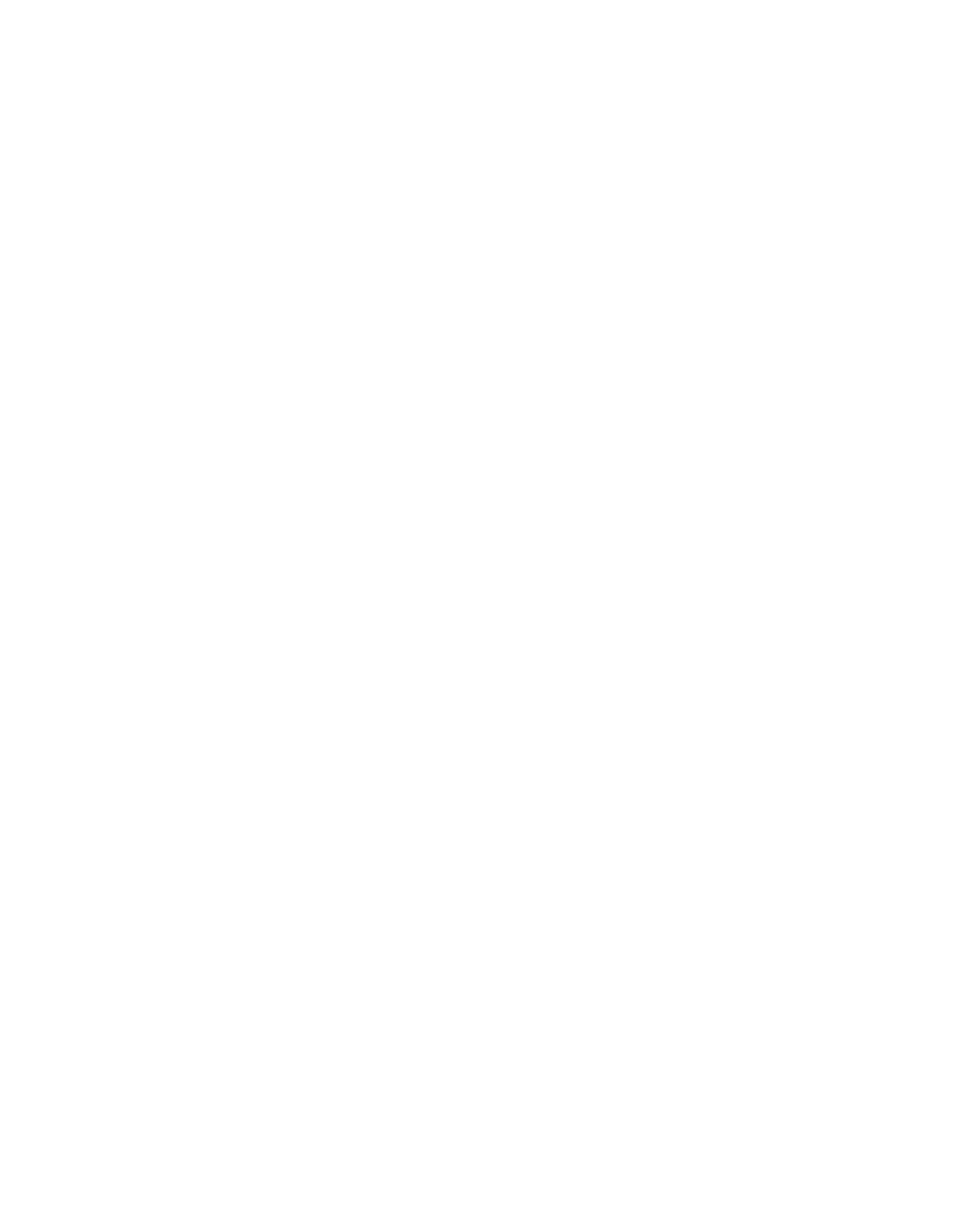|  | : 3 & KDSPDQ / 3 %R\HU 6Y |  | & + & U |
|--|---------------------------|--|---------|
|  |                           |  |         |

|           | %DVH6FRUHFDLG &+&                                                   | # ጼ+ጼ |  |
|-----------|---------------------------------------------------------------------|-------|--|
| <b>HF</b> | * HO GHWALV * DPH 7RS& RO WLEXWRU & RJKODO \$OPRUDIRU& + & LO. ZLO. |       |  |

| 0, / %DVH6FRUH 300 HU 6FRUHE\%DWMQJ2 UGHU<br>$8 + 8$<br>$0, /$ # $8 + 8$<br>: 3 & KDSPDQ /3 %R\HU 6Y & +& U+F * HQQHWAV'*DPH7RS&RQWLEXWRU&RJKODQ\$OPRUDIRU& +& LQZLQ |              |                              |  |  |  |  |           |  |  |  |  |
|----------------------------------------------------------------------------------------------------------------------------------------------------------------------|--------------|------------------------------|--|--|--|--|-----------|--|--|--|--|
|                                                                                                                                                                      |              |                              |  |  |  |  | %DW2 UGHU |  |  |  |  |
| 300 HU                                                                                                                                                               | 7HDP         | 3 RVIMRQ                     |  |  |  |  |           |  |  |  |  |
| * HOOHW                                                                                                                                                              | $0 \sqrt{ }$ | %                            |  |  |  |  |           |  |  |  |  |
| %UDXQ                                                                                                                                                                | $0 \sqrt{ }$ | $\left( \frac{1}{2} \right)$ |  |  |  |  |           |  |  |  |  |
| \$UFID                                                                                                                                                               | $0 \sqrt{ }$ | 66                           |  |  |  |  |           |  |  |  |  |
| 6XVDF                                                                                                                                                                | 0,           | &                            |  |  |  |  |           |  |  |  |  |
| %UR[ VRQ                                                                                                                                                             | 0,           | &)                           |  |  |  |  |           |  |  |  |  |
| 6DQMQD                                                                                                                                                               | $0 \sqrt{ }$ | $5)$ &)                      |  |  |  |  |           |  |  |  |  |
| &DUMU                                                                                                                                                                | 0,           | %                            |  |  |  |  |           |  |  |  |  |
| 1 LHXZ HOKXLV                                                                                                                                                        | $0 \sqrt{ }$ | &)                           |  |  |  |  |           |  |  |  |  |
| 3HJH                                                                                                                                                                 | $0 \sqrt{ }$ | %5)                          |  |  |  |  |           |  |  |  |  |
| 3 <sub>LOD</sub>                                                                                                                                                     | $0 \sqrt{ }$ | $3+$                         |  |  |  |  |           |  |  |  |  |
| \$ QGHU/RQ                                                                                                                                                           | 0,           | 3                            |  |  |  |  |           |  |  |  |  |
| ( OP RUH                                                                                                                                                             | 0,           | $3 + %$                      |  |  |  |  |           |  |  |  |  |
| 5 LYHLD                                                                                                                                                              | $0 \sqrt{ }$ | %' WE                        |  |  |  |  |           |  |  |  |  |
| $91$ $00$                                                                                                                                                            | 0,           | $3+$                         |  |  |  |  |           |  |  |  |  |



<u>KWOSV LWACH-VDSSOBIFRP XVDSSJR</u><br>PHDCDQGILWOH-WWOFN<br>HULG "PW

0,/ 6FRUH%R[ 300\HU7RMOOV<br>4+& 0,/ #&+&<br>3 & KDSPDQ /3 %R\HU 6Y & +& UHF \*HQQHMML/\*DPH7RS&RQMLEXMRU&RJKODQ\$OPRUDIRU&+&LQZLQ :

|                 |            |               | %DW<br>$2 \cup 6$ | & UHGLV) RU5 XQ | 3\$ %DMHV | %5 %DVHV | %DMHV3XWKHG | 300 HU 6 FRUH | \$SSHDUDGFHV | 3 URGXFWYWW<br>5DM |
|-----------------|------------|---------------|-------------------|-----------------|-----------|----------|-------------|---------------|--------------|--------------------|
| 30 NU           |            | 7HDP 3RVMRQ   |                   |                 |           |          |             |               |              |                    |
| * HOCHWV        | 0, /       | $\%$          |                   |                 |           |          |             |               |              |                    |
| %UDXQ           | 0, / / )   |               |                   |                 |           |          |             |               |              |                    |
| \$UFID          | 0, / 66    |               |                   |                 |           |          |             |               |              |                    |
| 6 XVDF          | 0/8        |               |                   |                 |           |          |             |               |              |                    |
| <b>%URIVRO</b>  | 0, / 8     |               |                   |                 |           |          |             |               |              |                    |
| 6DQMOOD         |            | $0, / 5)$ &)  |                   |                 |           |          |             |               |              |                    |
| & DUMU          | 0, /       | $\%$          |                   |                 |           |          |             |               |              |                    |
| 1LHXZHQKXLV 0,/ |            | &)            |                   |                 |           |          |             |               |              |                    |
| 3HUH            | 0, /       | %5)           |                   |                 |           |          |             |               |              |                    |
| 3100            | $0, / 3 +$ |               |                   |                 |           |          |             |               |              |                    |
| \$QGHU/RQ       | 0/3        |               |                   |                 |           |          |             |               |              |                    |
| $($ $@$ RUH     |            | $0, / 3 + \%$ |                   |                 |           |          |             |               |              |                    |
| 5 LYHUD         | 0, /       | %' WE         |                   |                 |           |          |             |               |              |                    |
| $91$ $0$        | $0, / 3 +$ |               |                   |                 |           |          |             |               |              |                    |
| 7RWDOV          |            |               |                   |                 |           |          |             |               |              |                    |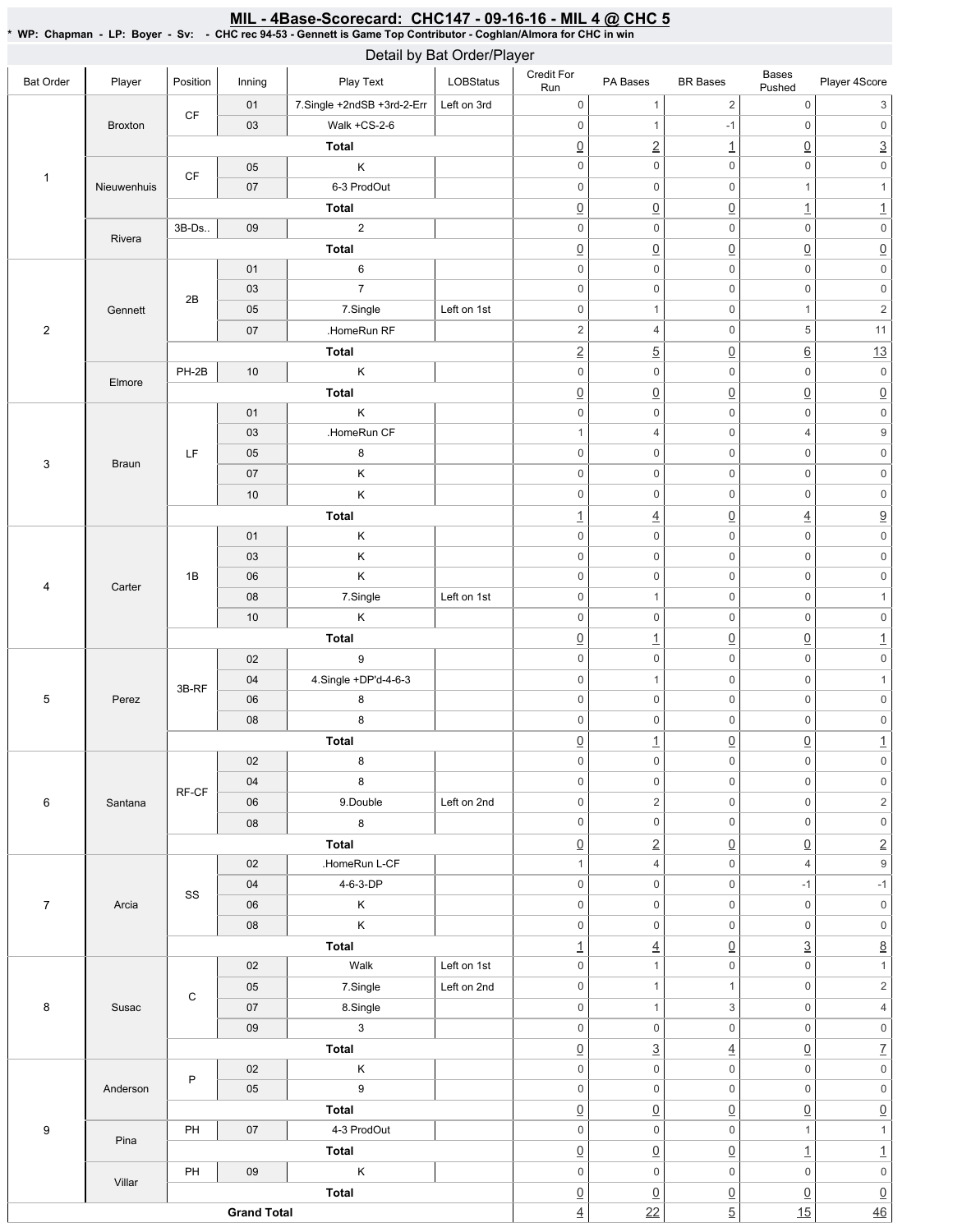### MIL - 4Base-Scorecard: CHC147 - 09-16-16 - MIL 4 @ CHC 5

\*WP:Chapman-LP:Boyer-Sv: -CHCrec94-53-GennettisGameTopContributor-Coghlan/AlmoraforCHCinwin Detail by Bat Order/Player

|                         |              |                        |                    |                            | Detail by Bat Order/Player |                          |                     |                     |                     |                          |
|-------------------------|--------------|------------------------|--------------------|----------------------------|----------------------------|--------------------------|---------------------|---------------------|---------------------|--------------------------|
| <b>Bat Order</b>        | Player       | Position               | Inning             | Play Text                  | LOBStatus                  | Credit For<br>Run        | PA Bases            | <b>BR</b> Bases     | Bases<br>Pushed     | Player 4Score            |
|                         |              |                        | 01                 | 7.Single +2ndSB +3rd-2-Err | Left on 3rd                | $\mathsf{O}\xspace$      | $\mathbf{1}$        | $\overline{2}$      | $\mathsf{O}\xspace$ | 3                        |
|                         | Broxton      | $\mathsf{C}\mathsf{F}$ | 03                 | Walk +CS-2-6               |                            | $\mathsf{O}\xspace$      | $\mathbf{1}$        | $-1$                | $\mathbf 0$         | $\mathsf{0}$             |
|                         |              |                        |                    | <b>Total</b>               |                            | $\underline{0}$          | $\underline{2}$     | $\overline{1}$      | $\underline{0}$     | $\underline{3}$          |
|                         |              |                        | 05                 | $\sf K$                    |                            | $\mathbf 0$              | $\mathbf 0$         | $\mathsf 0$         | $\mathbf 0$         | $\mathsf{O}\xspace$      |
| $\mathbf{1}$            | Nieuwenhuis  | CF                     | 07                 | 6-3 ProdOut                |                            | $\mathbb O$              | $\mathbf 0$         | $\mathbb O$         | $\mathbf{1}$        | $\mathbf{1}$             |
|                         |              |                        |                    | <b>Total</b>               |                            | $\underline{0}$          | $\underline{0}$     | $\underline{0}$     | $\overline{1}$      | $\underline{\mathbf{1}}$ |
|                         |              | 3B-Ds                  | 09                 | $\overline{2}$             |                            | $\mathbb O$              | $\mathsf{O}\xspace$ | $\mathsf 0$         | $\mathsf{O}\xspace$ | $\mathsf{O}\xspace$      |
|                         | Rivera       |                        |                    | <b>Total</b>               |                            | $\underline{0}$          | $\underline{0}$     | $\underline{0}$     | $\underline{0}$     | $\underline{0}$          |
|                         |              |                        | $01$               | $\,6\,$                    |                            | $\mathsf{O}\xspace$      | $\mathbf 0$         | $\mathbb O$         | $\mathsf{O}\xspace$ | $\mathsf{O}\xspace$      |
|                         |              |                        | 03                 | $\overline{7}$             |                            | $\mathbb O$              | $\mathbf 0$         | $\mathsf 0$         | $\mathsf{O}\xspace$ | $\mathsf{0}$             |
|                         | Gennett      | 2B                     | 05                 | 7.Single                   | Left on 1st                | $\mathbb O$              | $\mathbf{1}$        | $\mathbb O$         | $\mathbf{1}$        | $\sqrt{2}$               |
| $\overline{2}$          |              |                        | 07                 | .HomeRun RF                |                            | $\sqrt{2}$               | $\overline{4}$      | $\mathbb O$         | 5                   | 11                       |
|                         |              |                        |                    | <b>Total</b>               |                            | $\underline{2}$          | $\overline{5}$      | $\underline{0}$     | $\underline{6}$     | 13                       |
|                         |              | PH-2B                  | 10                 | $\sf K$                    |                            | $\mathbf 0$              | $\mathbf 0$         | $\mathbb O$         | $\mathsf{O}\xspace$ | $\mathsf{O}\xspace$      |
|                         | Elmore       |                        |                    | Total                      |                            | $\underline{0}$          | $\underline{0}$     | $\underline{0}$     | $\underline{0}$     | $\underline{0}$          |
|                         |              |                        | 01                 | Κ                          |                            | $\mathbb O$              | $\mathbf 0$         | $\mathbb O$         | $\mathbf 0$         | $\mathsf{O}\xspace$      |
|                         |              |                        | 03                 | .HomeRun CF                |                            | $\mathbf{1}$             | $\overline{4}$      | $\mathbb O$         | $\overline{4}$      | $\boldsymbol{9}$         |
|                         |              | LF                     | 05                 | 8                          |                            | $\mathbf 0$              | $\mathbf 0$         | $\mathbb O$         | $\mathsf 0$         | $\mathsf{O}\xspace$      |
| 3                       | <b>Braun</b> |                        | 07                 | $\sf K$                    |                            | $\mathbb O$              | $\mathbf 0$         | $\mathsf 0$         | $\mathsf{O}\xspace$ | $\mathsf{O}\xspace$      |
|                         |              |                        | 10                 | $\sf K$                    |                            | $\mathbf 0$              | $\boldsymbol{0}$    | $\mathsf 0$         | $\mathsf 0$         | $\mathsf{O}\xspace$      |
|                         |              |                        |                    | Total                      |                            | $\underline{\mathbf{1}}$ | $\underline{4}$     | $\underline{0}$     | $\underline{4}$     | $\underline{9}$          |
|                         |              |                        | 01                 | Κ                          |                            | $\mathbf 0$              | $\mathsf{O}\xspace$ | $\mathbb O$         | $\mathbf 0$         | $\mathsf{O}\xspace$      |
| $\overline{\mathbf{4}}$ |              |                        | 03                 | $\sf K$                    |                            | $\mathbb O$              | $\mathbf 0$         | $\mathbb O$         | $\mathsf 0$         | $\mathsf{O}\xspace$      |
|                         |              | 1B                     | 06                 | Κ                          |                            | $\mathbf 0$              | $\mathbf 0$         | $\mathsf 0$         | $\mathbf 0$         | $\mathsf{O}\xspace$      |
|                         | Carter       |                        | 08                 | 7.Single                   | Left on 1st                | $\mathbb O$              | $\mathbf{1}$        | $\mathsf 0$         | $\mathsf 0$         | $\mathbf{1}$             |
|                         |              |                        | 10                 | $\sf K$                    |                            | $\mathbb O$              | $\mathbf 0$         | $\mathbb O$         | $\mathsf{O}\xspace$ | $\mathsf{O}\xspace$      |
|                         |              |                        |                    | Total                      |                            | $\underline{0}$          | $\overline{1}$      | $\underline{0}$     | $\underline{0}$     | $\underline{\mathbf{1}}$ |
|                         |              |                        | 02                 | $\boldsymbol{9}$           |                            | $\mathbf 0$              | $\mathsf{O}\xspace$ | $\mathsf 0$         | $\mathsf 0$         | $\mathsf{O}\xspace$      |
|                         | Perez        | 3B-RF                  | 04                 | 4.Single +DP'd-4-6-3       |                            | $\mathsf{O}\xspace$      | $\mathbf{1}$        | $\mathsf{O}\xspace$ | $\mathsf 0$         | $\mathbf{1}$             |
| 5                       |              |                        | 06                 | 8                          |                            | $\mathbb O$              | $\mathbf 0$         | $\mathbb O$         | $\mathsf 0$         | $\mathsf{O}\xspace$      |
|                         |              |                        | ${\bf 08}$         | 8                          |                            | $\mathbb O$              | $\boldsymbol{0}$    | $\boldsymbol{0}$    | $\mathsf{O}\xspace$ | $\mathsf{O}\xspace$      |
|                         |              |                        |                    | Total                      |                            | $\underline{0}$          | $\overline{1}$      | $\underline{0}$     | $\underline{0}$     | $\overline{1}$           |
|                         |              |                        | 02                 | 8                          |                            | $\mathsf 0$              | $\mathsf{O}\xspace$ | $\mathsf 0$         | $\mathsf{O}\xspace$ | $\mathbf 0$              |
|                         |              |                        | 04                 | 8                          |                            | $\mathsf{O}\xspace$      | $\mathsf{O}\xspace$ | $\mathsf 0$         | $\mathsf{O}\xspace$ | $\mathsf{O}\xspace$      |
| 6                       | Santana      | $RF-CF$                | 06                 | 9.Double                   | Left on 2nd                | $\mathsf{O}\xspace$      | $\overline{2}$      | $\mathsf 0$         | $\mathsf 0$         | $\overline{c}$           |
|                         |              |                        | 08                 | 8                          |                            | $\mathsf{O}\xspace$      | $\mathsf{O}\xspace$ | $\mathsf 0$         | $\mathsf{O}\xspace$ | $\mathsf{0}$             |
|                         |              |                        |                    | <b>Total</b>               |                            | $\underline{0}$          | $\underline{2}$     | $\underline{0}$     | $\underline{0}$     | $\overline{2}$           |
|                         |              |                        | 02                 | .HomeRun L-CF              |                            | $\mathbf{1}$             | $\overline{4}$      | $\mathsf 0$         | $\overline{4}$      | $\boldsymbol{9}$         |
|                         |              |                        | 04                 | 4-6-3-DP                   |                            | $\mathsf{O}\xspace$      | $\mathsf{O}\xspace$ | $\mathsf 0$         | $-1$                | $-1$                     |
| $\overline{7}$          | Arcia        | SS                     | 06                 | K                          |                            | $\mathbf 0$              | $\mathsf 0$         | $\mathsf 0$         | $\mathsf 0$         | $\mathsf{O}\xspace$      |
|                         |              |                        | 08                 | Κ                          |                            | $\mathbb O$              | $\mathsf{O}\xspace$ | $\mathbb O$         | $\mathsf 0$         | $\mathsf{0}$             |
|                         |              |                        |                    | Total                      |                            | $\underline{\mathbf{1}}$ | $\underline{4}$     | $\underline{0}$     | $\underline{3}$     | $\underline{8}$          |
|                         |              |                        | 02                 | Walk                       | Left on 1st                | $\mathbf 0$              | $\mathbf{1}$        | $\mathsf 0$         | $\mathsf{O}\xspace$ | $\mathbf{1}$             |
|                         |              | $\mathsf C$            | 05                 | 7.Single                   | Left on 2nd                | $\mathsf{O}\xspace$      | $\mathbf{1}$        | $\mathbf{1}$        | $\mathsf 0$         | $\overline{c}$           |
| 8                       | Susac        |                        | 07                 | 8.Single                   |                            | $\mathbf 0$              | $\mathbf{1}$        | $\sqrt{3}$          | $\mathsf{O}\xspace$ | $\overline{4}$           |
|                         |              |                        | 09                 | $\mathbf{3}$               |                            | $\mathsf{O}\xspace$      | $\mathsf{O}\xspace$ | $\mathsf 0$         | $\mathsf 0$         | $\mathsf{0}$             |
|                         |              |                        |                    | <b>Total</b>               |                            | $\underline{0}$          | $\underline{3}$     | $\underline{4}$     | $\underline{0}$     | $\overline{L}$           |
|                         |              | P                      | 02                 | K                          |                            | $\mathsf{O}\xspace$      | $\mathsf{O}\xspace$ | $\mathsf 0$         | $\mathsf 0$         | $\mathsf{O}\xspace$      |
|                         | Anderson     |                        | 05                 | 9                          |                            | $\mathsf{O}\xspace$      | $\mathsf 0$         | $\mathsf 0$         | $\mathsf{O}\xspace$ | $\mathsf{O}\xspace$      |
|                         |              |                        |                    | Total                      |                            | $\underline{0}$          | $\underline{0}$     | $\underline{0}$     | $\overline{0}$      | $\underline{0}$          |
| 9                       | Pina         | PH                     | $07\,$             | 4-3 ProdOut                |                            | $\mathsf{O}\xspace$      | $\mathsf{O}\xspace$ | $\mathbb O$         | $\mathbf{1}$        | $\mathbf{1}$             |
|                         |              |                        |                    | Total                      |                            | $\underline{0}$          | $\underline{0}$     | $\underline{0}$     | $\overline{1}$      | $\underline{1}$          |
|                         | Villar       | PH                     | 09                 | $\sf K$                    |                            | $\mathsf{O}\xspace$      | $\mathsf{O}\xspace$ | $\mathsf 0$         | $\mathsf{O}\xspace$ | $\mathsf{O}\xspace$      |
|                         |              |                        |                    | <b>Total</b>               |                            | $\underline{0}$          | $\underline{0}$     | $\underline{0}$     | $\underline{0}$     | $\underline{0}$          |
|                         |              |                        | <b>Grand Total</b> |                            |                            | $\overline{4}$           | 22                  | $\overline{5}$      | 15                  | $\overline{46}$          |